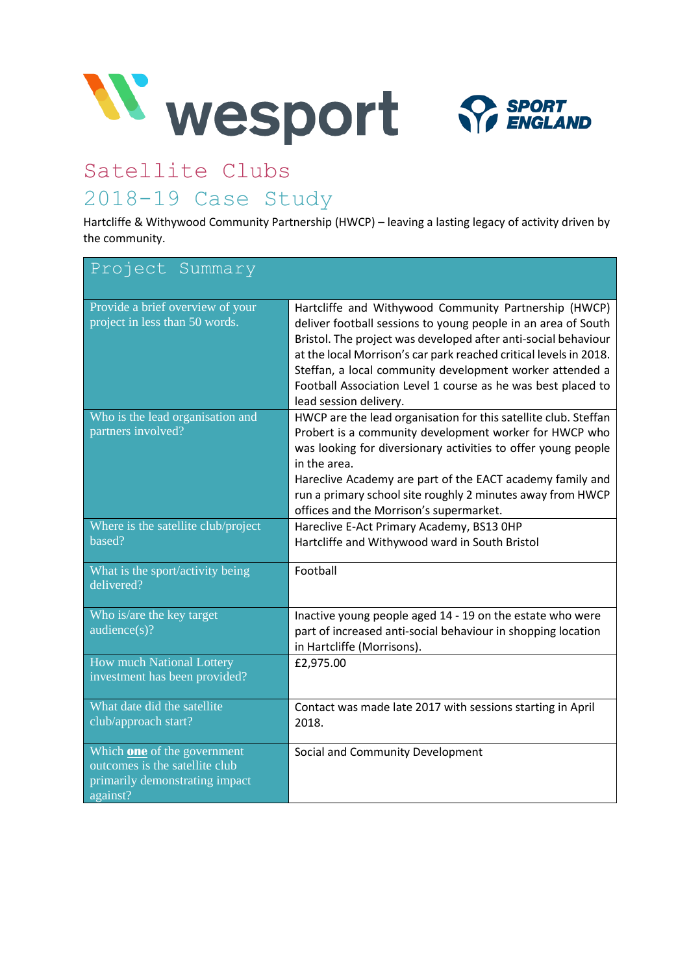

# Satellite Clubs 2018-19 Case Study

Hartcliffe & Withywood Community Partnership (HWCP) – leaving a lasting legacy of activity driven by the community.

| Project Summary                                                                                                    |                                                                                                                                                                                                                                                                                                                                                                                                                     |
|--------------------------------------------------------------------------------------------------------------------|---------------------------------------------------------------------------------------------------------------------------------------------------------------------------------------------------------------------------------------------------------------------------------------------------------------------------------------------------------------------------------------------------------------------|
| Provide a brief overview of your<br>project in less than 50 words.                                                 | Hartcliffe and Withywood Community Partnership (HWCP)<br>deliver football sessions to young people in an area of South<br>Bristol. The project was developed after anti-social behaviour<br>at the local Morrison's car park reached critical levels in 2018.<br>Steffan, a local community development worker attended a<br>Football Association Level 1 course as he was best placed to<br>lead session delivery. |
| Who is the lead organisation and<br>partners involved?                                                             | HWCP are the lead organisation for this satellite club. Steffan<br>Probert is a community development worker for HWCP who<br>was looking for diversionary activities to offer young people<br>in the area.<br>Hareclive Academy are part of the EACT academy family and<br>run a primary school site roughly 2 minutes away from HWCP<br>offices and the Morrison's supermarket.                                    |
| Where is the satellite club/project<br>based?                                                                      | Hareclive E-Act Primary Academy, BS13 OHP<br>Hartcliffe and Withywood ward in South Bristol                                                                                                                                                                                                                                                                                                                         |
| What is the sport/activity being<br>delivered?                                                                     | Football                                                                                                                                                                                                                                                                                                                                                                                                            |
| Who is/are the key target<br>audience(s)?                                                                          | Inactive young people aged 14 - 19 on the estate who were<br>part of increased anti-social behaviour in shopping location<br>in Hartcliffe (Morrisons).                                                                                                                                                                                                                                                             |
| <b>How much National Lottery</b><br>investment has been provided?                                                  | £2,975.00                                                                                                                                                                                                                                                                                                                                                                                                           |
| What date did the satellite<br>club/approach start?                                                                | Contact was made late 2017 with sessions starting in April<br>2018.                                                                                                                                                                                                                                                                                                                                                 |
| Which <b>one</b> of the government<br>outcomes is the satellite club<br>primarily demonstrating impact<br>against? | Social and Community Development                                                                                                                                                                                                                                                                                                                                                                                    |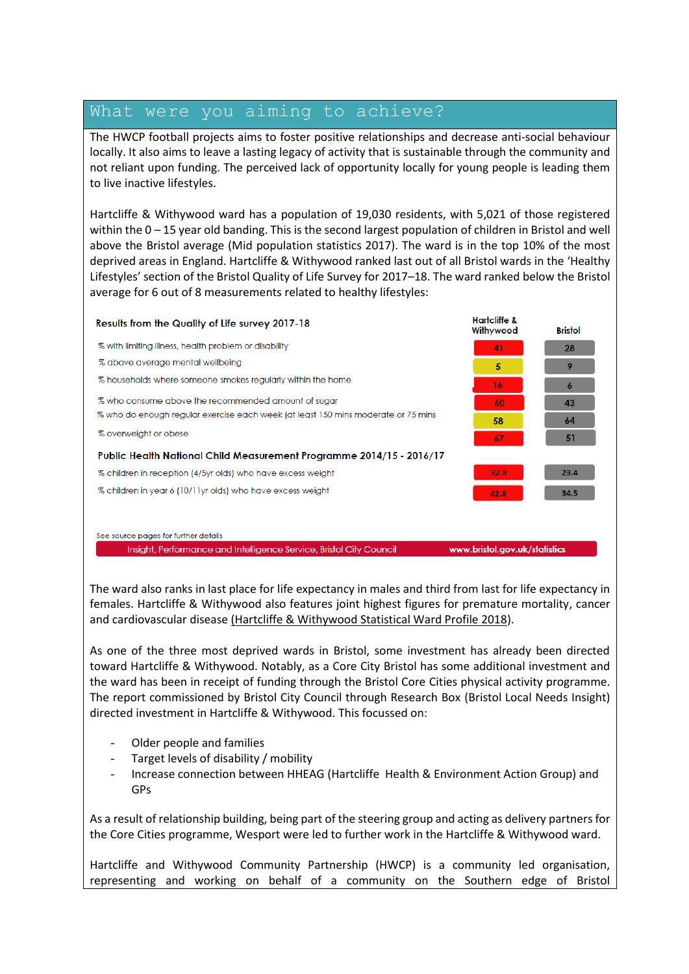### What were you aiming to achieve?

The HWCP football projects aims to foster positive relationships and decrease anti-social behaviour locally. It also aims to leave a lasting legacy of activity that is sustainable through the community and not reliant upon funding. The perceived lack of opportunity locally for young people is leading them to live inactive lifestyles.

Hartcliffe & Withywood ward has a population of 19,030 residents, with 5,021 of those registered within the 0 – 15 year old banding. This is the second largest population of children in Bristol and well above the Bristol average (Mid population statistics 2017). The ward is in the top 10% of the most deprived areas in England. Hartcliffe & Withywood ranked last out of all Bristol wards in the 'Healthy Lifestyles' section of the Bristol Quality of Life Survey for 2017–18. The ward ranked below the Bristol average for 6 out of 8 measurements related to healthy lifestyles:



See source pages for further details

Insight, Performance and Intelligence Service, Bristol City Council

www.bristol.gov.uk/statistics

The ward also ranks in last place for life expectancy in males and third from last for life expectancy in females. Hartcliffe & Withywood also features joint highest figures for premature mortality, cancer and cardiovascular disease [\(Hartcliffe & Withywood Statistical Ward Profile 2018\)](https://www.bristol.gov.uk/documents/20182/436737/Hartcliffe+and+Withywood.pdf/49d31847-00da-471c-95c8-82630662e073).

As one of the three most deprived wards in Bristol, some investment has already been directed toward Hartcliffe & Withywood. Notably, as a Core City Bristol has some additional investment and the ward has been in receipt of funding through the Bristol Core Cities physical activity programme. The report commissioned by Bristol City Council through Research Box (Bristol Local Needs Insight) directed investment in Hartcliffe & Withywood. This focussed on:

- Older people and families
- Target levels of disability / mobility
- Increase connection between HHEAG (Hartcliffe Health & Environment Action Group) and GPs

As a result of relationship building, being part of the steering group and acting as delivery partners for the Core Cities programme, Wesport were led to further work in the Hartcliffe & Withywood ward.

Hartcliffe and Withywood Community Partnership (HWCP) is a community led organisation, representing and working on behalf of a community on the Southern edge of Bristol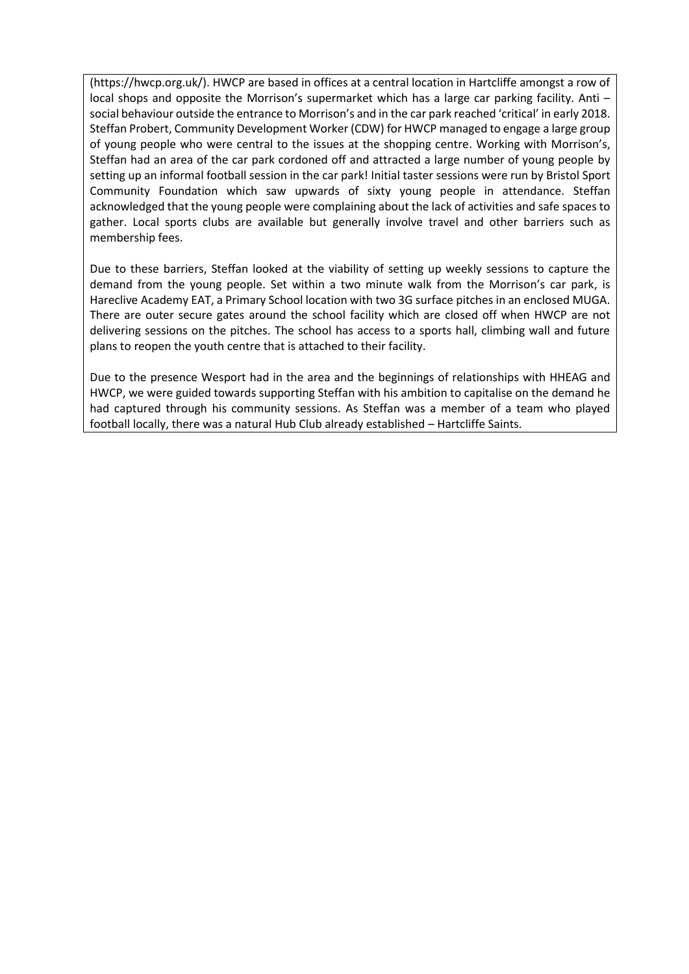[\(https://hwcp.org.uk/\)](https://hwcp.org.uk/). HWCP are based in offices at a central location in Hartcliffe amongst a row of local shops and opposite the Morrison's supermarket which has a large car parking facility. Anti social behaviour outside the entrance to Morrison's and in the car park reached 'critical' in early 2018. Steffan Probert, Community Development Worker (CDW) for HWCP managed to engage a large group of young people who were central to the issues at the shopping centre. Working with Morrison's, Steffan had an area of the car park cordoned off and attracted a large number of young people by setting up an informal football session in the car park! Initial taster sessions were run by Bristol Sport Community Foundation which saw upwards of sixty young people in attendance. Steffan acknowledged that the young people were complaining about the lack of activities and safe spaces to gather. Local sports clubs are available but generally involve travel and other barriers such as membership fees.

Due to these barriers, Steffan looked at the viability of setting up weekly sessions to capture the demand from the young people. Set within a two minute walk from the Morrison's car park, is Hareclive Academy EAT, a Primary School location with two 3G surface pitches in an enclosed MUGA. There are outer secure gates around the school facility which are closed off when HWCP are not delivering sessions on the pitches. The school has access to a sports hall, climbing wall and future plans to reopen the youth centre that is attached to their facility.

Due to the presence Wesport had in the area and the beginnings of relationships with HHEAG and HWCP, we were guided towards supporting Steffan with his ambition to capitalise on the demand he had captured through his community sessions. As Steffan was a member of a team who played football locally, there was a natural Hub Club already established – Hartcliffe Saints.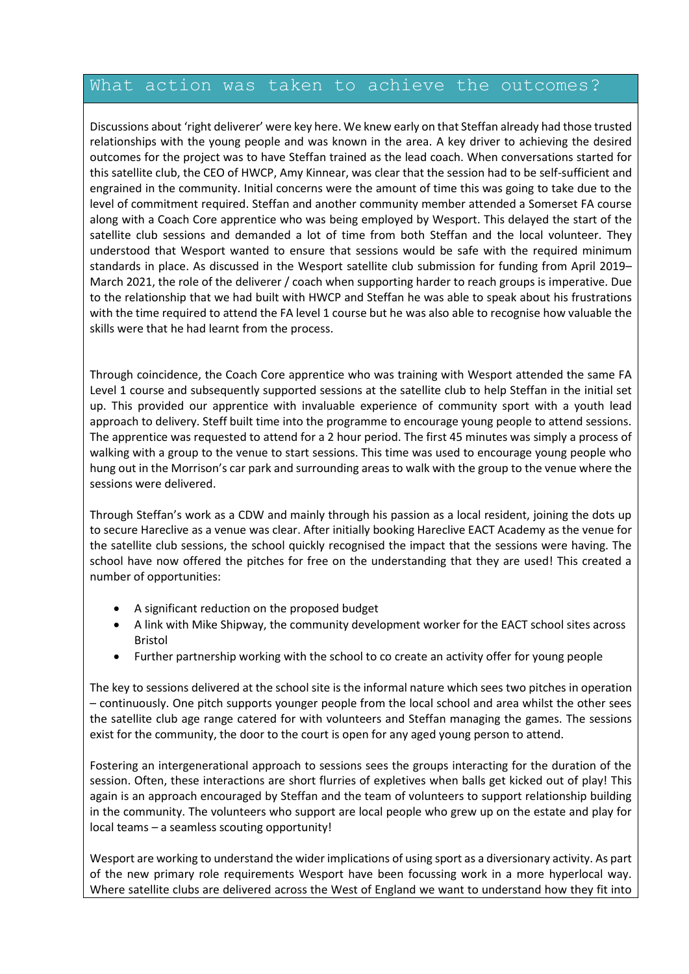### What action was taken to achieve the outcomes?

Discussions about 'right deliverer' were key here. We knew early on that Steffan already had those trusted relationships with the young people and was known in the area. A key driver to achieving the desired outcomes for the project was to have Steffan trained as the lead coach. When conversations started for this satellite club, the CEO of HWCP, Amy Kinnear, was clear that the session had to be self-sufficient and engrained in the community. Initial concerns were the amount of time this was going to take due to the level of commitment required. Steffan and another community member attended a Somerset FA course along with a Coach Core apprentice who was being employed by Wesport. This delayed the start of the satellite club sessions and demanded a lot of time from both Steffan and the local volunteer. They understood that Wesport wanted to ensure that sessions would be safe with the required minimum standards in place. As discussed in the Wesport satellite club submission for funding from April 2019– March 2021, the role of the deliverer / coach when supporting harder to reach groups is imperative. Due to the relationship that we had built with HWCP and Steffan he was able to speak about his frustrations with the time required to attend the FA level 1 course but he was also able to recognise how valuable the skills were that he had learnt from the process.

Through coincidence, the Coach Core apprentice who was training with Wesport attended the same FA Level 1 course and subsequently supported sessions at the satellite club to help Steffan in the initial set up. This provided our apprentice with invaluable experience of community sport with a youth lead approach to delivery. Steff built time into the programme to encourage young people to attend sessions. The apprentice was requested to attend for a 2 hour period. The first 45 minutes was simply a process of walking with a group to the venue to start sessions. This time was used to encourage young people who hung out in the Morrison's car park and surrounding areas to walk with the group to the venue where the sessions were delivered.

Through Steffan's work as a CDW and mainly through his passion as a local resident, joining the dots up to secure Hareclive as a venue was clear. After initially booking Hareclive EACT Academy as the venue for the satellite club sessions, the school quickly recognised the impact that the sessions were having. The school have now offered the pitches for free on the understanding that they are used! This created a number of opportunities:

- A significant reduction on the proposed budget
- A link with Mike Shipway, the community development worker for the EACT school sites across Bristol
- Further partnership working with the school to co create an activity offer for young people

The key to sessions delivered at the school site is the informal nature which sees two pitches in operation – continuously. One pitch supports younger people from the local school and area whilst the other sees the satellite club age range catered for with volunteers and Steffan managing the games. The sessions exist for the community, the door to the court is open for any aged young person to attend.

Fostering an intergenerational approach to sessions sees the groups interacting for the duration of the session. Often, these interactions are short flurries of expletives when balls get kicked out of play! This again is an approach encouraged by Steffan and the team of volunteers to support relationship building in the community. The volunteers who support are local people who grew up on the estate and play for local teams – a seamless scouting opportunity!

Wesport are working to understand the wider implications of using sport as a diversionary activity. As part of the new primary role requirements Wesport have been focussing work in a more hyperlocal way. Where satellite clubs are delivered across the West of England we want to understand how they fit into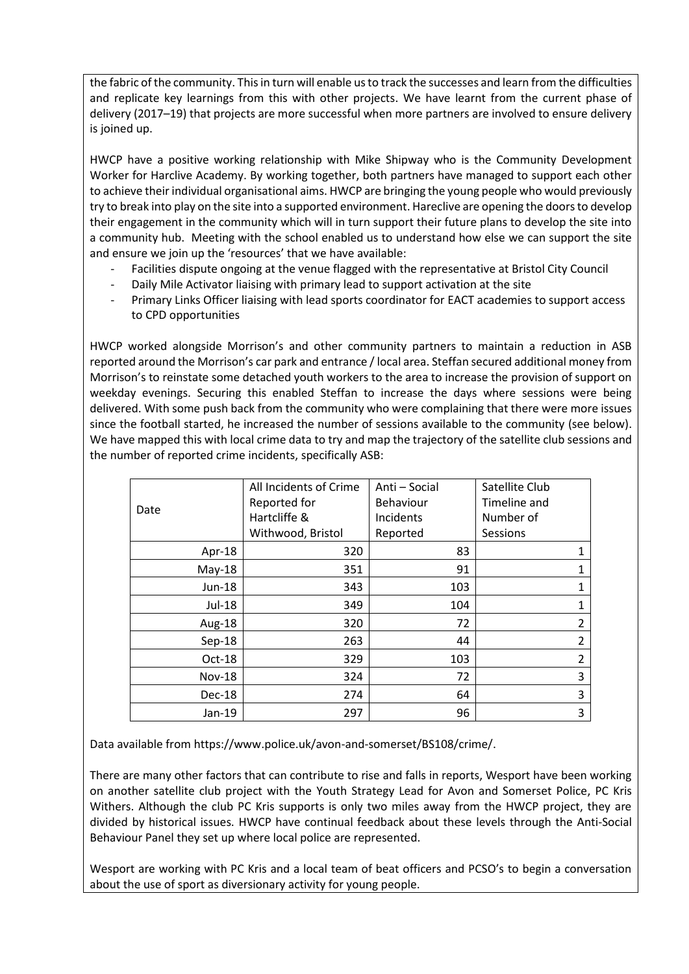the fabric of the community. This in turn will enable usto track the successes and learn from the difficulties and replicate key learnings from this with other projects. We have learnt from the current phase of delivery (2017–19) that projects are more successful when more partners are involved to ensure delivery is joined up.

HWCP have a positive working relationship with Mike Shipway who is the Community Development Worker for Harclive Academy. By working together, both partners have managed to support each other to achieve their individual organisational aims. HWCP are bringing the young people who would previously try to break into play on the site into a supported environment. Hareclive are opening the doors to develop their engagement in the community which will in turn support their future plans to develop the site into a community hub. Meeting with the school enabled us to understand how else we can support the site and ensure we join up the 'resources' that we have available:

- Facilities dispute ongoing at the venue flagged with the representative at Bristol City Council
- Daily Mile Activator liaising with primary lead to support activation at the site
- Primary Links Officer liaising with lead sports coordinator for EACT academies to support access to CPD opportunities

HWCP worked alongside Morrison's and other community partners to maintain a reduction in ASB reported around the Morrison's car park and entrance / local area. Steffan secured additional money from Morrison's to reinstate some detached youth workers to the area to increase the provision of support on weekday evenings. Securing this enabled Steffan to increase the days where sessions were being delivered. With some push back from the community who were complaining that there were more issues since the football started, he increased the number of sessions available to the community (see below). We have mapped this with local crime data to try and map the trajectory of the satellite club sessions and the number of reported crime incidents, specifically ASB:

|  |               | All Incidents of Crime | Anti - Social | Satellite Club |                |
|--|---------------|------------------------|---------------|----------------|----------------|
|  |               | Reported for           | Behaviour     | Timeline and   |                |
|  | Date          | Hartcliffe &           | Incidents     | Number of      |                |
|  |               | Withwood, Bristol      | Reported      | Sessions       |                |
|  | Apr-18        | 320                    | 83            |                | 1              |
|  | $May-18$      | 351                    | 91            |                | 1              |
|  | Jun-18        | 343                    | 103           |                | 1              |
|  | Jul-18        | 349                    | 104           |                | 1              |
|  | Aug-18        | 320                    | 72            |                | 2              |
|  | $Sep-18$      | 263                    | 44            |                | $\overline{2}$ |
|  | Oct-18        | 329                    | 103           |                | $\overline{2}$ |
|  | <b>Nov-18</b> | 324                    | 72            |                | 3              |
|  | Dec-18        | 274                    | 64            |                | 3              |
|  | Jan-19        | 297                    | 96            |                | 3              |

Data available fro[m https://www.police.uk/avon-and-somerset/BS108/crime/.](https://www.police.uk/avon-and-somerset/BS108/crime/)

There are many other factors that can contribute to rise and falls in reports, Wesport have been working on another satellite club project with the Youth Strategy Lead for Avon and Somerset Police, PC Kris Withers. Although the club PC Kris supports is only two miles away from the HWCP project, they are divided by historical issues. HWCP have continual feedback about these levels through the Anti-Social Behaviour Panel they set up where local police are represented.

Wesport are working with PC Kris and a local team of beat officers and PCSO's to begin a conversation about the use of sport as diversionary activity for young people.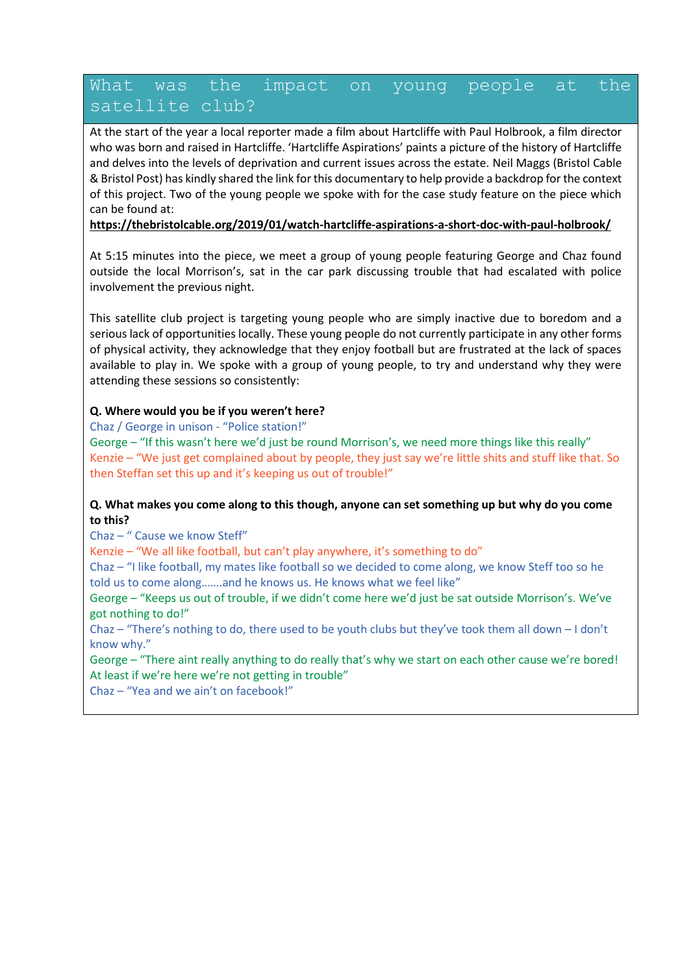### What was the impact on young people at the satellite club?

At the start of the year a local reporter made a film about Hartcliffe with Paul Holbrook, a film director who was born and raised in Hartcliffe. 'Hartcliffe Aspirations' paints a picture of the history of Hartcliffe and delves into the levels of deprivation and current issues across the estate. Neil Maggs (Bristol Cable & Bristol Post) has kindly shared the link for this documentary to help provide a backdrop for the context of this project. Two of the young people we spoke with for the case study feature on the piece which can be found at:

**<https://thebristolcable.org/2019/01/watch-hartcliffe-aspirations-a-short-doc-with-paul-holbrook/>**

At 5:15 minutes into the piece, we meet a group of young people featuring George and Chaz found outside the local Morrison's, sat in the car park discussing trouble that had escalated with police involvement the previous night.

This satellite club project is targeting young people who are simply inactive due to boredom and a serious lack of opportunities locally. These young people do not currently participate in any other forms of physical activity, they acknowledge that they enjoy football but are frustrated at the lack of spaces available to play in. We spoke with a group of young people, to try and understand why they were attending these sessions so consistently:

#### **Q. Where would you be if you weren't here?**

Chaz / George in unison - "Police station!"

George – "If this wasn't here we'd just be round Morrison's, we need more things like this really" Kenzie – "We just get complained about by people, they just say we're little shits and stuff like that. So then Steffan set this up and it's keeping us out of trouble!"

#### **Q. What makes you come along to this though, anyone can set something up but why do you come to this?**

Chaz – " Cause we know Steff"

Kenzie – "We all like football, but can't play anywhere, it's something to do"

Chaz – "I like football, my mates like football so we decided to come along, we know Steff too so he told us to come along…….and he knows us. He knows what we feel like"

George – "Keeps us out of trouble, if we didn't come here we'd just be sat outside Morrison's. We've got nothing to do!"

Chaz – "There's nothing to do, there used to be youth clubs but they've took them all down  $-1$  don't know why."

George – "There aint really anything to do really that's why we start on each other cause we're bored! At least if we're here we're not getting in trouble"

Chaz – "Yea and we ain't on facebook!"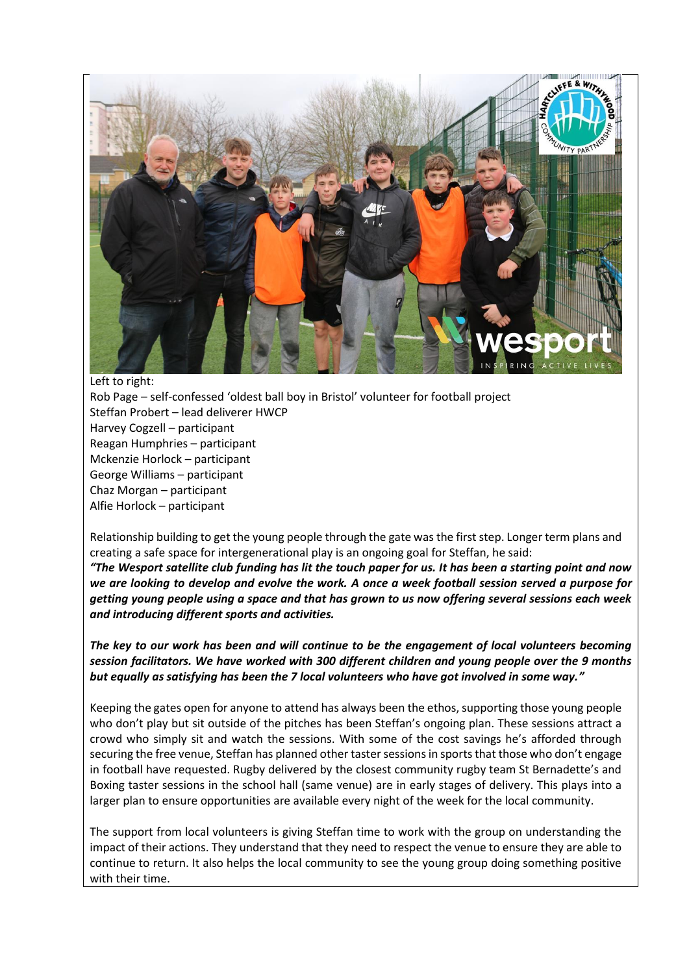

Left to right:

Rob Page – self-confessed 'oldest ball boy in Bristol' volunteer for football project Steffan Probert – lead deliverer HWCP Harvey Cogzell – participant Reagan Humphries – participant Mckenzie Horlock – participant George Williams – participant Chaz Morgan – participant Alfie Horlock – participant

Relationship building to get the young people through the gate was the first step. Longer term plans and creating a safe space for intergenerational play is an ongoing goal for Steffan, he said:

*"The Wesport satellite club funding has lit the touch paper for us. It has been a starting point and now we are looking to develop and evolve the work. A once a week football session served a purpose for getting young people using a space and that has grown to us now offering several sessions each week and introducing different sports and activities.*

*The key to our work has been and will continue to be the engagement of local volunteers becoming session facilitators. We have worked with 300 different children and young people over the 9 months but equally as satisfying has been the 7 local volunteers who have got involved in some way."*

Keeping the gates open for anyone to attend has always been the ethos, supporting those young people who don't play but sit outside of the pitches has been Steffan's ongoing plan. These sessions attract a crowd who simply sit and watch the sessions. With some of the cost savings he's afforded through securing the free venue, Steffan has planned other taster sessions in sports that those who don't engage in football have requested. Rugby delivered by the closest community rugby team St Bernadette's and Boxing taster sessions in the school hall (same venue) are in early stages of delivery. This plays into a larger plan to ensure opportunities are available every night of the week for the local community.

The support from local volunteers is giving Steffan time to work with the group on understanding the impact of their actions. They understand that they need to respect the venue to ensure they are able to continue to return. It also helps the local community to see the young group doing something positive with their time.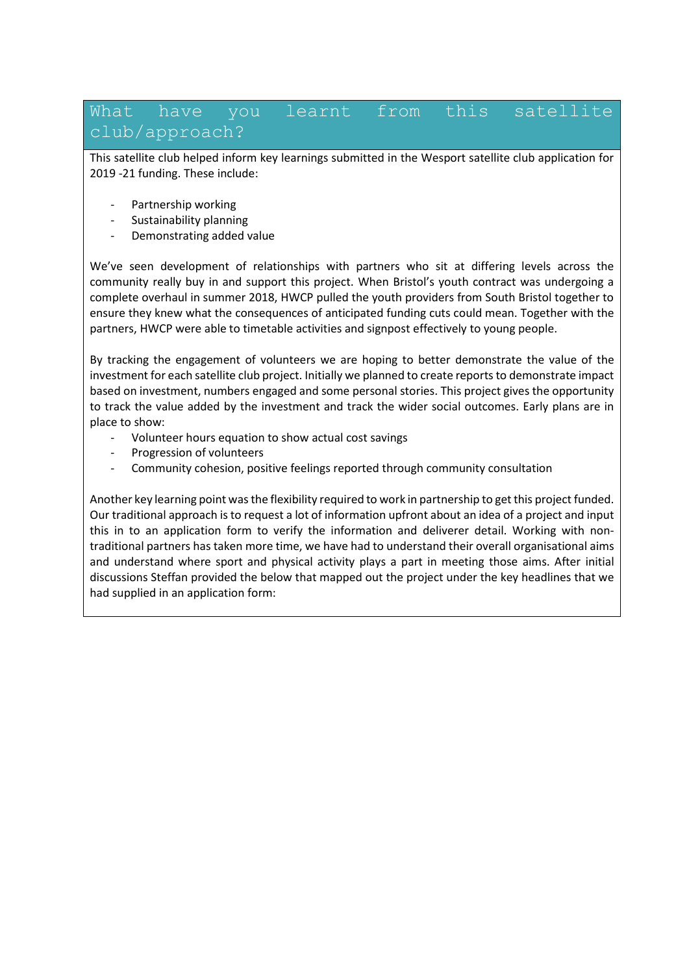### What have you learnt from this satellite club/approach?

This satellite club helped inform key learnings submitted in the Wesport satellite club application for 2019 -21 funding. These include:

- Partnership working
- Sustainability planning
- Demonstrating added value

We've seen development of relationships with partners who sit at differing levels across the community really buy in and support this project. When Bristol's youth contract was undergoing a complete overhaul in summer 2018, HWCP pulled the youth providers from South Bristol together to ensure they knew what the consequences of anticipated funding cuts could mean. Together with the partners, HWCP were able to timetable activities and signpost effectively to young people.

By tracking the engagement of volunteers we are hoping to better demonstrate the value of the investment for each satellite club project. Initially we planned to create reports to demonstrate impact based on investment, numbers engaged and some personal stories. This project gives the opportunity to track the value added by the investment and track the wider social outcomes. Early plans are in place to show:

- Volunteer hours equation to show actual cost savings
- Progression of volunteers
- Community cohesion, positive feelings reported through community consultation

Another key learning point was the flexibility required to work in partnership to get this project funded. Our traditional approach is to request a lot of information upfront about an idea of a project and input this in to an application form to verify the information and deliverer detail. Working with nontraditional partners has taken more time, we have had to understand their overall organisational aims and understand where sport and physical activity plays a part in meeting those aims. After initial discussions Steffan provided the below that mapped out the project under the key headlines that we had supplied in an application form: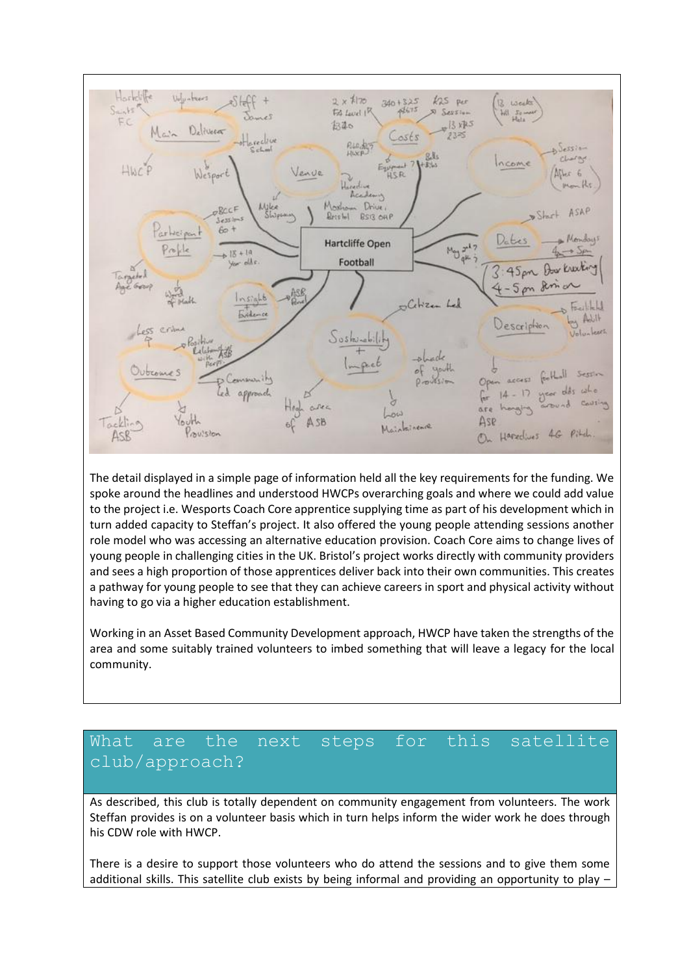

The detail displayed in a simple page of information held all the key requirements for the funding. We spoke around the headlines and understood HWCPs overarching goals and where we could add value to the project i.e. Wesports Coach Core apprentice supplying time as part of his development which in turn added capacity to Steffan's project. It also offered the young people attending sessions another role model who was accessing an alternative education provision. Coach Core aims to change lives of young people in challenging cities in the UK. Bristol's project works directly with community providers and sees a high proportion of those apprentices deliver back into their own communities. This creates a pathway for young people to see that they can achieve careers in sport and physical activity without having to go via a higher education establishment.

Working in an Asset Based Community Development approach, HWCP have taken the strengths of the area and some suitably trained volunteers to imbed something that will leave a legacy for the local community.

# What are the next steps for this satellite club/approach?

As described, this club is totally dependent on community engagement from volunteers. The work Steffan provides is on a volunteer basis which in turn helps inform the wider work he does through his CDW role with HWCP.

There is a desire to support those volunteers who do attend the sessions and to give them some additional skills. This satellite club exists by being informal and providing an opportunity to play –